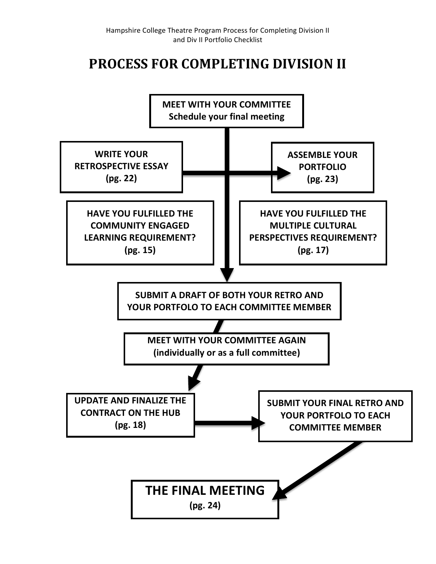# **PROCESS FOR COMPLETING DIVISION II**

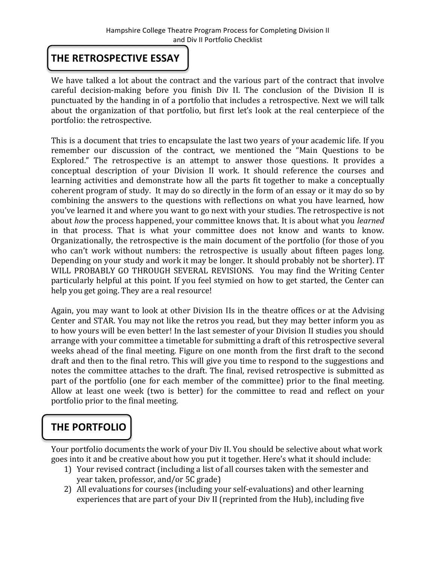## **THE RETROSPECTIVE ESSAY**

We have talked a lot about the contract and the various part of the contract that involve careful decision-making before you finish Div II. The conclusion of the Division II is punctuated by the handing in of a portfolio that includes a retrospective. Next we will talk about the organization of that portfolio, but first let's look at the real centerpiece of the portfolio: the retrospective.

This is a document that tries to encapsulate the last two years of your academic life. If you remember our discussion of the contract, we mentioned the "Main Questions to be Explored." The retrospective is an attempt to answer those questions. It provides a conceptual description of your Division II work. It should reference the courses and learning activities and demonstrate how all the parts fit together to make a conceptually coherent program of study. It may do so directly in the form of an essay or it may do so by combining the answers to the questions with reflections on what you have learned, how you've learned it and where you want to go next with your studies. The retrospective is not about *how* the process happened, your committee knows that. It is about what you *learned* in that process. That is what your committee does not know and wants to know. Organizationally, the retrospective is the main document of the portfolio (for those of you who can't work without numbers: the retrospective is usually about fifteen pages long. Depending on your study and work it may be longer. It should probably not be shorter). IT WILL PROBABLY GO THROUGH SEVERAL REVISIONS. You may find the Writing Center particularly helpful at this point. If you feel stymied on how to get started, the Center can help you get going. They are a real resource!

Again, you may want to look at other Division IIs in the theatre offices or at the Advising Center and STAR. You may not like the retros you read, but they may better inform you as to how yours will be even better! In the last semester of your Division II studies you should arrange with your committee a timetable for submitting a draft of this retrospective several weeks ahead of the final meeting. Figure on one month from the first draft to the second draft and then to the final retro. This will give you time to respond to the suggestions and notes the committee attaches to the draft. The final, revised retrospective is submitted as part of the portfolio (one for each member of the committee) prior to the final meeting. Allow at least one week (two is better) for the committee to read and reflect on your portfolio prior to the final meeting.

# **THE PORTFOLIO**

Your portfolio documents the work of your Div II. You should be selective about what work goes into it and be creative about how you put it together. Here's what it should include:

- 1) Your revised contract (including a list of all courses taken with the semester and year taken, professor, and/or 5C grade)
- 2) All evaluations for courses (including your self-evaluations) and other learning experiences that are part of your Div II (reprinted from the Hub), including five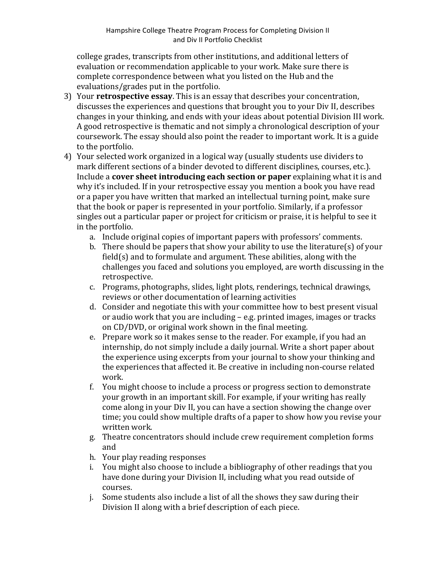college grades, transcripts from other institutions, and additional letters of evaluation or recommendation applicable to your work. Make sure there is complete correspondence between what you listed on the Hub and the evaluations/grades put in the portfolio.

- 3) Your **retrospective essay**. This is an essay that describes your concentration, discusses the experiences and questions that brought you to your Div II, describes changes in your thinking, and ends with your ideas about potential Division III work. A good retrospective is thematic and not simply a chronological description of your coursework. The essay should also point the reader to important work. It is a guide to the portfolio.
- 4) Your selected work organized in a logical way (usually students use dividers to mark different sections of a binder devoted to different disciplines, courses, etc.). Include a **cover sheet introducing each section or paper** explaining what it is and why it's included. If in your retrospective essay you mention a book you have read or a paper you have written that marked an intellectual turning point, make sure that the book or paper is represented in your portfolio. Similarly, if a professor singles out a particular paper or project for criticism or praise, it is helpful to see it in the portfolio.
	- a. Include original copies of important papers with professors' comments.
	- b. There should be papers that show your ability to use the literature(s) of your field(s) and to formulate and argument. These abilities, along with the challenges you faced and solutions you employed, are worth discussing in the retrospective.
	- c. Programs, photographs, slides, light plots, renderings, technical drawings, reviews or other documentation of learning activities
	- d. Consider and negotiate this with your committee how to best present visual or audio work that you are including  $-$  e.g. printed images, images or tracks on CD/DVD, or original work shown in the final meeting.
	- e. Prepare work so it makes sense to the reader. For example, if you had an internship, do not simply include a daily journal. Write a short paper about the experience using excerpts from your journal to show your thinking and the experiences that affected it. Be creative in including non-course related work.
	- f. You might choose to include a process or progress section to demonstrate your growth in an important skill. For example, if your writing has really come along in your Div II, you can have a section showing the change over time; you could show multiple drafts of a paper to show how you revise your written work.
	- g. Theatre concentrators should include crew requirement completion forms and
	- h. Your play reading responses
	- i. You might also choose to include a bibliography of other readings that you have done during your Division II, including what you read outside of courses.
	- j. Some students also include a list of all the shows they saw during their Division II along with a brief description of each piece.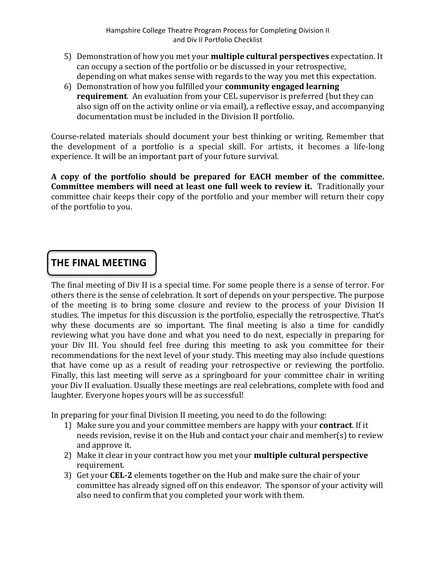- 5) Demonstration of how you met your **multiple cultural perspectives** expectation. It can occupy a section of the portfolio or be discussed in your retrospective, depending on what makes sense with regards to the way you met this expectation.
- 6) Demonstration of how you fulfilled your **community engaged learning requirement**. An evaluation from your CEL supervisor is preferred (but they can also sign off on the activity online or via email), a reflective essay, and accompanying documentation must be included in the Division II portfolio.

Course-related materials should document your best thinking or writing. Remember that the development of a portfolio is a special skill. For artists, it becomes a life-long experience. It will be an important part of your future survival.

A copy of the portfolio should be prepared for EACH member of the committee. **Committee members will need at least one full week to review it.** Traditionally your committee chair keeps their copy of the portfolio and your member will return their copy of the portfolio to you.

## **THE FINAL MEETING**

The final meeting of Div II is a special time. For some people there is a sense of terror. For others there is the sense of celebration. It sort of depends on your perspective. The purpose of the meeting is to bring some closure and review to the process of your Division II studies. The impetus for this discussion is the portfolio, especially the retrospective. That's why these documents are so important. The final meeting is also a time for candidly reviewing what you have done and what you need to do next, especially in preparing for your Div III. You should feel free during this meeting to ask you committee for their recommendations for the next level of your study. This meeting may also include questions that have come up as a result of reading your retrospective or reviewing the portfolio. Finally, this last meeting will serve as a springboard for your committee chair in writing your Div II evaluation. Usually these meetings are real celebrations, complete with food and laughter. Everyone hopes yours will be as successful!

In preparing for your final Division II meeting, you need to do the following:

- 1) Make sure you and your committee members are happy with your **contract**. If it needs revision, revise it on the Hub and contact your chair and member(s) to review and approve it.
- 2) Make it clear in your contract how you met your **multiple cultural perspective** requirement.
- 3) Get your **CEL-2** elements together on the Hub and make sure the chair of your committee has already signed off on this endeavor. The sponsor of your activity will also need to confirm that you completed your work with them.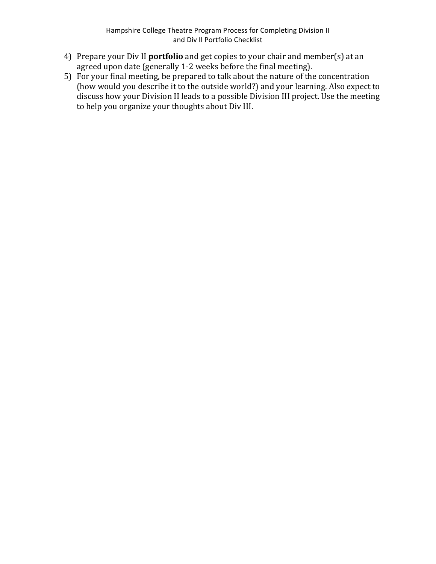- 4) Prepare your Div II **portfolio** and get copies to your chair and member(s) at an agreed upon date (generally 1-2 weeks before the final meeting).
- 5) For your final meeting, be prepared to talk about the nature of the concentration (how would you describe it to the outside world?) and your learning. Also expect to  $\ddot{\text{d}}$  discuss how your Division II leads to a possible Division III project. Use the meeting to help you organize your thoughts about Div III.